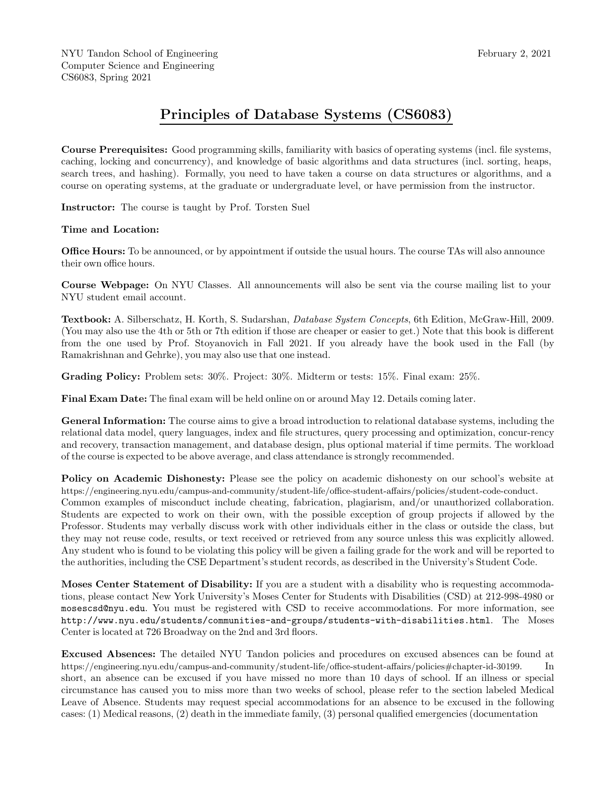## Principles of Database Systems (CS6083)

Course Prerequisites: Good programming skills, familiarity with basics of operating systems (incl. file systems, caching, locking and concurrency), and knowledge of basic algorithms and data structures (incl. sorting, heaps, search trees, and hashing). Formally, you need to have taken a course on data structures or algorithms, and a course on operating systems, at the graduate or undergraduate level, or have permission from the instructor.

Instructor: The course is taught by Prof. Torsten Suel

## Time and Location:

**Office Hours:** To be announced, or by appointment if outside the usual hours. The course TAs will also announce their own office hours.

Course Webpage: On NYU Classes. All announcements will also be sent via the course mailing list to your NYU student email account.

Textbook: A. Silberschatz, H. Korth, S. Sudarshan, Database System Concepts, 6th Edition, McGraw-Hill, 2009. (You may also use the 4th or 5th or 7th edition if those are cheaper or easier to get.) Note that this book is different from the one used by Prof. Stoyanovich in Fall 2021. If you already have the book used in the Fall (by Ramakrishnan and Gehrke), you may also use that one instead.

Grading Policy: Problem sets:  $30\%$ . Project:  $30\%$ . Midterm or tests:  $15\%$ . Final exam:  $25\%$ .

Final Exam Date: The final exam will be held online on or around May 12. Details coming later.

General Information: The course aims to give a broad introduction to relational database systems, including the relational data model, query languages, index and file structures, query processing and optimization, concur-rency and recovery, transaction management, and database design, plus optional material if time permits. The workload of the course is expected to be above average, and class attendance is strongly recommended.

Policy on Academic Dishonesty: Please see the policy on academic dishonesty on our school's website at https://engineering.nyu.edu/campus-and-community/student-life/office-student-affairs/policies/student-code-conduct. Common examples of misconduct include cheating, fabrication, plagiarism, and/or unauthorized collaboration. Students are expected to work on their own, with the possible exception of group projects if allowed by the Professor. Students may verbally discuss work with other individuals either in the class or outside the class, but they may not reuse code, results, or text received or retrieved from any source unless this was explicitly allowed. Any student who is found to be violating this policy will be given a failing grade for the work and will be reported to the authorities, including the CSE Department's student records, as described in the University's Student Code.

Moses Center Statement of Disability: If you are a student with a disability who is requesting accommodations, please contact New York University's Moses Center for Students with Disabilities (CSD) at 212-998-4980 or mosescsd@nyu.edu. You must be registered with CSD to receive accommodations. For more information, see http://www.nyu.edu/students/communities-and-groups/students-with-disabilities.html. The Moses Center is located at 726 Broadway on the 2nd and 3rd floors.

Excused Absences: The detailed NYU Tandon policies and procedures on excused absences can be found at https://engineering.nyu.edu/campus-and-community/student-life/office-student-affairs/policies#chapter-id-30199. In short, an absence can be excused if you have missed no more than 10 days of school. If an illness or special circumstance has caused you to miss more than two weeks of school, please refer to the section labeled Medical Leave of Absence. Students may request special accommodations for an absence to be excused in the following cases: (1) Medical reasons, (2) death in the immediate family, (3) personal qualified emergencies (documentation